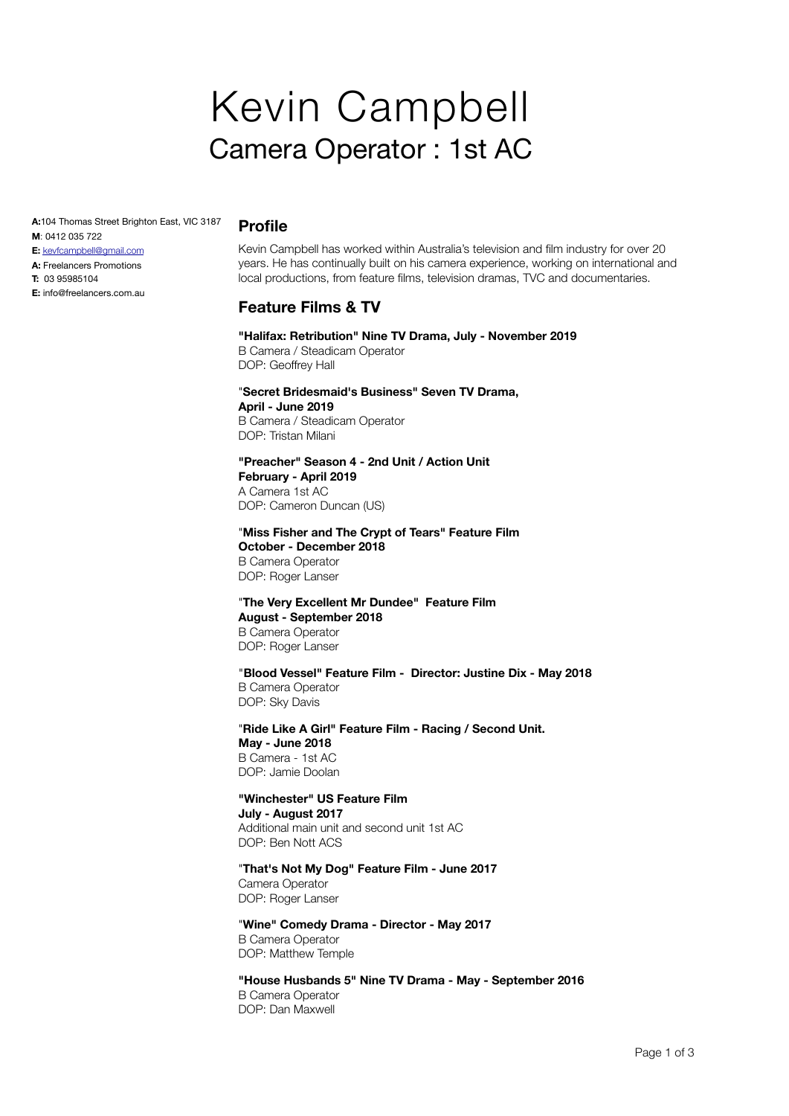# Kevin Campbell Camera Operator : 1st AC

**A:**104 Thomas Street Brighton East, VIC 3187 **M**: 0412 035 722

- **E:** [kevfcampbell@gmail.com](mailto:info@kevcampbell.net)
- **A:** Freelancers Promotions
- **T:** 03 95985104
- **E:** info@freelancers.com.au

### **Profile**

Kevin Campbell has worked within Australia's television and film industry for over 20 years. He has continually built on his camera experience, working on international and local productions, from feature films, television dramas, TVC and documentaries.

# **Feature Films & TV**

**"Halifax: Retribution" Nine TV Drama, July - November 2019** B Camera / Steadicam Operator

DOP: Geoffrey Hall

#### "**Secret Bridesmaid's Business" Seven TV Drama, April - June 2019** B Camera / Steadicam Operator DOP: Tristan Milani

#### **"Preacher" Season 4 - 2nd Unit / Action Unit February - April 2019** A Camera 1st AC DOP: Cameron Duncan (US)

"**Miss Fisher and The Crypt of Tears" Feature Film October - December 2018** B Camera Operator DOP: Roger Lanser

#### "**The Very Excellent Mr Dundee" Feature Film August - September 2018** B Camera Operator DOP: Roger Lanser

"**Blood Vessel" Feature Film - Director: Justine Dix - May 2018** B Camera Operator DOP: Sky Davis

"**Ride Like A Girl" Feature Film - Racing / Second Unit. May - June 2018**  B Camera - 1st AC DOP: Jamie Doolan

# **"Winchester" US Feature Film**

**July - August 2017** Additional main unit and second unit 1st AC DOP: Ben Nott ACS

"**That's Not My Dog" Feature Film - June 2017**

Camera Operator DOP: Roger Lanser

"**Wine" Comedy Drama - Director - May 2017** B Camera Operator DOP: Matthew Temple

**"House Husbands 5" Nine TV Drama - May - September 2016** B Camera Operator DOP: Dan Maxwell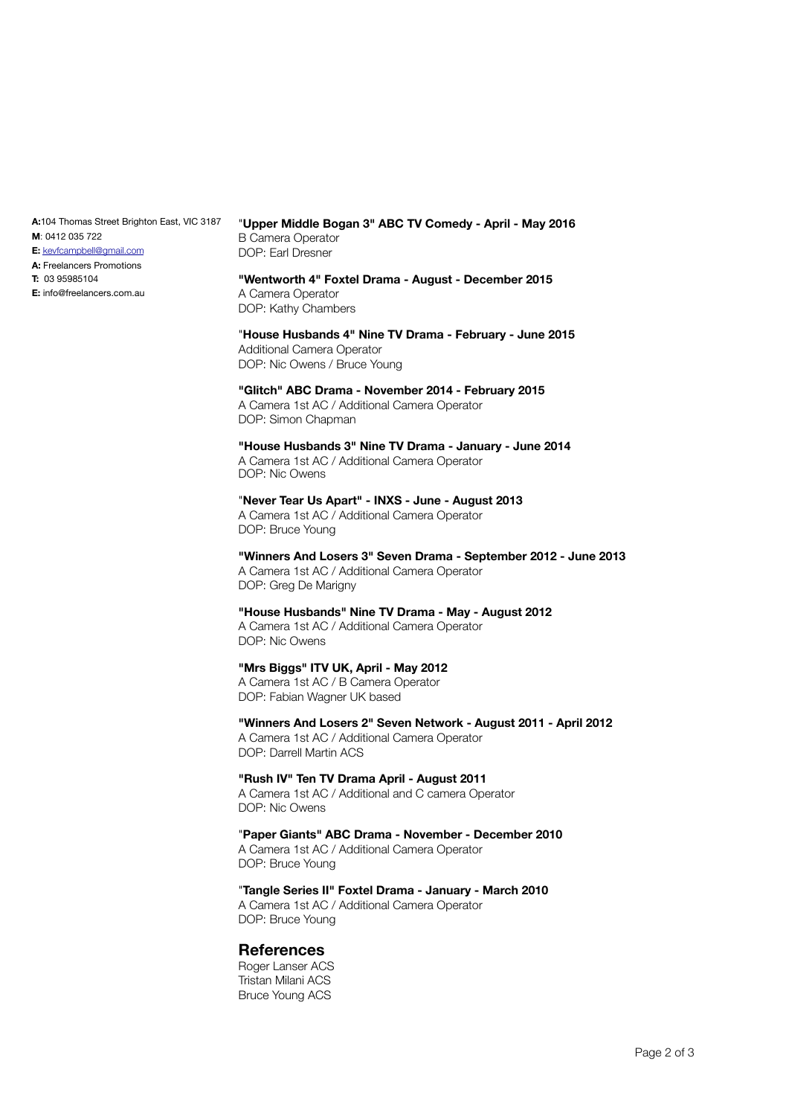**A:**104 Thomas Street Brighton East, VIC 3187 **M**: 0412 035 722

- **E:** [kevfcampbell@gmail.com](mailto:info@kevcampbell.net)
- **A:** Freelancers Promotions
- **T:** 03 95985104

**E:** info@freelancers.com.au

#### "**Upper Middle Bogan 3" ABC TV Comedy - April - May 2016** B Camera Operator DOP: Earl Dresner

#### **"Wentworth 4" Foxtel Drama - August - December 2015**  A Camera Operator DOP: Kathy Chambers

"**House Husbands 4" Nine TV Drama - February - June 2015** Additional Camera Operator DOP: Nic Owens / Bruce Young

# **"Glitch" ABC Drama - November 2014 - February 2015**

A Camera 1st AC / Additional Camera Operator DOP: Simon Chapman

#### **"House Husbands 3" Nine TV Drama - January - June 2014**  A Camera 1st AC / Additional Camera Operator

DOP: Nic Owens

#### "**Never Tear Us Apart" - INXS - June - August 2013** A Camera 1st AC / Additional Camera Operator DOP: Bruce Young

**"Winners And Losers 3" Seven Drama - September 2012 - June 2013** A Camera 1st AC / Additional Camera Operator DOP: Greg De Marigny

#### **"House Husbands" Nine TV Drama - May - August 2012** A Camera 1st AC / Additional Camera Operator DOP: Nic Owens

# **"Mrs Biggs" ITV UK, April - May 2012**

A Camera 1st AC / B Camera Operator DOP: Fabian Wagner UK based

# **"Winners And Losers 2" Seven Network - August 2011 - April 2012** A Camera 1st AC / Additional Camera Operator

DOP: Darrell Martin ACS

# **"Rush IV" Ten TV Drama April - August 2011**

A Camera 1st AC / Additional and C camera Operator DOP: Nic Owens

# "**Paper Giants" ABC Drama - November - December 2010**

A Camera 1st AC / Additional Camera Operator DOP: Bruce Young

#### "**Tangle Series II" Foxtel Drama - January - March 2010**

A Camera 1st AC / Additional Camera Operator DOP: Bruce Young

# **References**

Roger Lanser ACS Tristan Milani ACS Bruce Young ACS